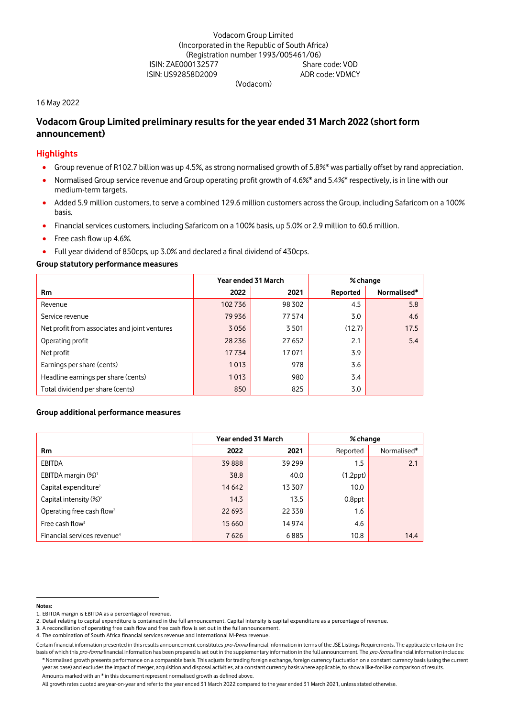# Vodacom Group Limited (Incorporated in the Republic of South Africa) (Registration number 1993/005461/06) ISIN: ZAE000132577 Share code: VOD<br>ISIN: US92858D2009 SIN: US92858D2009 ISIN: US92858D2009

(Vodacom)

#### 16 May 2022

# **Vodacom Group Limited preliminary results for the year ended 31 March 2022 (short form announcement)**

# **Highlights**

- Group revenue of R102.7 billion was up 4.5%, as strong normalised growth of 5.8%\* was partially offset by rand appreciation.
- Normalised Group service revenue and Group operating profit growth of 4.6%\* and 5.4%\* respectively, is in line with our medium-term targets.
- Added 5.9 million customers, to serve a combined 129.6 million customers across the Group, including Safaricom on a 100% basis.
- Financial services customers, including Safaricom on a 100% basis, up 5.0% or 2.9 million to 60.6 million.
- Free cash flow up 4.6%.
- Full year dividend of 850cps, up 3.0% and declared a final dividend of 430cps.

#### **Group statutory performance measures [1](#page-0-0)**

|                                               | Year ended 31 March |        | % change |             |
|-----------------------------------------------|---------------------|--------|----------|-------------|
| <b>Rm</b>                                     | 2022                | 2021   | Reported | Normalised* |
| Revenue                                       | 102736              | 98 302 | 4.5      | 5.8         |
| Service revenue                               | 79 936              | 77574  | 3.0      | 4.6         |
| Net profit from associates and joint ventures | 3056                | 3501   | (12.7)   | 17.5        |
| Operating profit                              | 28 2 36             | 27 652 | 2.1      | 5.4         |
| Net profit                                    | 17734               | 17071  | 3.9      |             |
| Earnings per share (cents)                    | 1013                | 978    | 3.6      |             |
| Headline earnings per share (cents)           | 1013                | 980    | 3.4      |             |
| Total dividend per share (cents)              | 850                 | 825    | 3.0      |             |

### **Group additional performance measures**

|                                         | Year ended 31 March |         | % change       |             |
|-----------------------------------------|---------------------|---------|----------------|-------------|
| <b>Rm</b>                               | 2022                | 2021    | Reported       | Normalised* |
| <b>EBITDA</b>                           | 39888               | 39 299  | 1.5            | 2.1         |
| EBITDA margin (%) <sup>1</sup>          | 38.8                | 40.0    | $(1.2$ ppt $)$ |             |
| Capital expenditure <sup>2</sup>        | 14 642              | 13 307  | 10.0           |             |
| Capital intensity (%) <sup>2</sup>      | 14.3                | 13.5    | $0.8$ ppt      |             |
| Operating free cash flow <sup>3</sup>   | 22 693              | 22 3 38 | 1.6            |             |
| Free cash flow <sup>3</sup>             | 15 6 60             | 14 974  | 4.6            |             |
| Financial services revenue <sup>4</sup> | 7626                | 6885    | 10.8           | 14.4        |

#### <span id="page-0-0"></span>**Notes:**

<sup>1.</sup> EBITDA margin is EBITDA as a percentage of revenue.

<sup>2.</sup> Detail relating to capital expenditure is contained in the full announcement. Capital intensity is capital expenditure as a percentage of revenue.

<sup>3.</sup> A reconciliation of operating free cash flow and free cash flow is set out in the full announcement.

<sup>4.</sup> The combination of South Africa financial services revenue and International M-Pesa revenue.

Certain financial information presented in this results announcement constitutes pro-forma financial information in terms of the JSE Listings Requirements. The applicable criteria on the basis of which this pro-forma financial information has been prepared is set out in the supplementary information in the full announcement. The pro-forma financial information includes: \* Normalised growth presents performance on a comparable basis. This adjusts for trading foreign exchange, foreign currency fluctuation on a constant currency basis (using the current year as base) and excludes the impact of merger, acquisition and disposal activities, at a constant currency basis where applicable, to show a like-for-like comparison of results. Amounts marked with an \* in this document represent normalised growth as defined above.

All growth rates quoted are year-on-year and refer to the year ended 31 March 2022 compared to the year ended 31 March 2021, unless stated otherwise.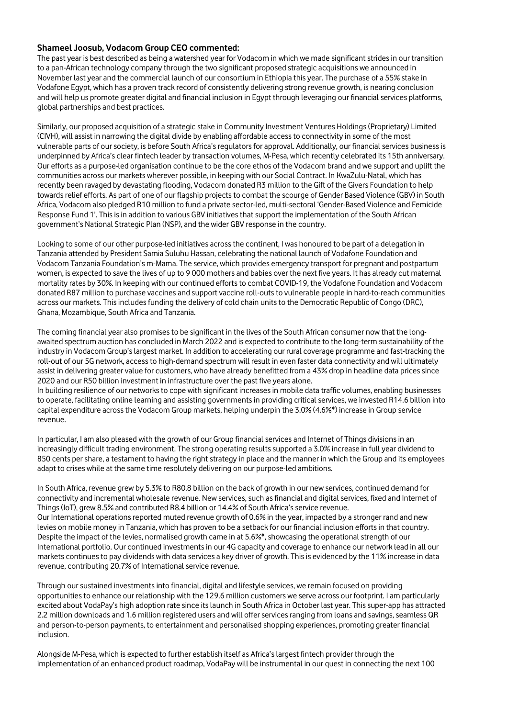## **Shameel Joosub, Vodacom Group CEO commented:**

The past year is best described as being a watershed year for Vodacom in which we made significant strides in our transition to a pan-African technology company through the two significant proposed strategic acquisitions we announced in November last year and the commercial launch of our consortium in Ethiopia this year. The purchase of a 55% stake in Vodafone Egypt, which has a proven track record of consistently delivering strong revenue growth, is nearing conclusion and will help us promote greater digital and financial inclusion in Egypt through leveraging our financial services platforms, global partnerships and best practices.

Similarly, our proposed acquisition of a strategic stake in Community Investment Ventures Holdings (Proprietary) Limited (CIVH), will assist in narrowing the digital divide by enabling affordable access to connectivity in some of the most vulnerable parts of our society, is before South Africa's regulators for approval. Additionally, our financial services business is underpinned by Africa's clear fintech leader by transaction volumes, M-Pesa, which recently celebrated its 15th anniversary. Our efforts as a purpose-led organisation continue to be the core ethos of the Vodacom brand and we support and uplift the communities across our markets wherever possible, in keeping with our Social Contract. In KwaZulu-Natal, which has recently been ravaged by devastating flooding, Vodacom donated R3 million to the Gift of the Givers Foundation to help towards relief efforts. As part of one of our flagship projects to combat the scourge of Gender Based Violence (GBV) in South Africa, Vodacom also pledged R10 million to fund a private sector-led, multi-sectoral 'Gender-Based Violence and Femicide Response Fund 1'. This is in addition to various GBV initiatives that support the implementation of the South African government's National Strategic Plan (NSP), and the wider GBV response in the country.

Looking to some of our other purpose-led initiatives across the continent, I was honoured to be part of a delegation in Tanzania attended by President Samia Suluhu Hassan, celebrating the national launch of Vodafone Foundation and Vodacom Tanzania Foundation's m-Mama. The service, which provides emergency transport for pregnant and postpartum women, is expected to save the lives of up to 9 000 mothers and babies over the next five years. It has already cut maternal mortality rates by 30%. In keeping with our continued efforts to combat COVID-19, the Vodafone Foundation and Vodacom donated R87 million to purchase vaccines and support vaccine roll-outs to vulnerable people in hard-to-reach communities across our markets. This includes funding the delivery of cold chain units to the Democratic Republic of Congo (DRC), Ghana, Mozambique, South Africa and Tanzania.

The coming financial year also promises to be significant in the lives of the South African consumer now that the longawaited spectrum auction has concluded in March 2022 and is expected to contribute to the long-term sustainability of the industry in Vodacom Group's largest market. In addition to accelerating our rural coverage programme and fast-tracking the roll-out of our 5G network, access to high-demand spectrum will result in even faster data connectivity and will ultimately assist in delivering greater value for customers, who have already benefitted from a 43% drop in headline data prices since 2020 and our R50 billion investment in infrastructure over the past five years alone.

In building resilience of our networks to cope with significant increases in mobile data traffic volumes, enabling businesses to operate, facilitating online learning and assisting governments in providing critical services, we invested R14.6 billion into capital expenditure across the Vodacom Group markets, helping underpin the 3.0% (4.6%\*) increase in Group service revenue.

In particular, I am also pleased with the growth of our Group financial services and Internet of Things divisions in an increasingly difficult trading environment. The strong operating results supported a 3.0% increase in full year dividend to 850 cents per share, a testament to having the right strategy in place and the manner in which the Group and its employees adapt to crises while at the same time resolutely delivering on our purpose-led ambitions.

In South Africa, revenue grew by 5.3% to R80.8 billion on the back of growth in our new services, continued demand for connectivity and incremental wholesale revenue. New services, such as financial and digital services, fixed and Internet of Things (IoT), grew 8.5% and contributed R8.4 billion or 14.4% of South Africa's service revenue. Our International operations reported muted revenue growth of 0.6% in the year, impacted by a stronger rand and new levies on mobile money in Tanzania, which has proven to be a setback for our financial inclusion efforts in that country. Despite the impact of the levies, normalised growth came in at 5.6%\*, showcasing the operational strength of our International portfolio. Our continued investments in our 4G capacity and coverage to enhance our network lead in all our markets continues to pay dividends with data services a key driver of growth. This is evidenced by the 11% increase in data revenue, contributing 20.7% of International service revenue.

Through our sustained investments into financial, digital and lifestyle services, we remain focused on providing opportunities to enhance our relationship with the 129.6 million customers we serve across our footprint. I am particularly excited about VodaPay's high adoption rate since its launch in South Africa in October last year. This super-app has attracted 2.2 million downloads and 1.6 million registered users and will offer services ranging from loans and savings, seamless QR and person-to-person payments, to entertainment and personalised shopping experiences, promoting greater financial inclusion.

Alongside M-Pesa, which is expected to further establish itself as Africa's largest fintech provider through the implementation of an enhanced product roadmap, VodaPay will be instrumental in our quest in connecting the next 100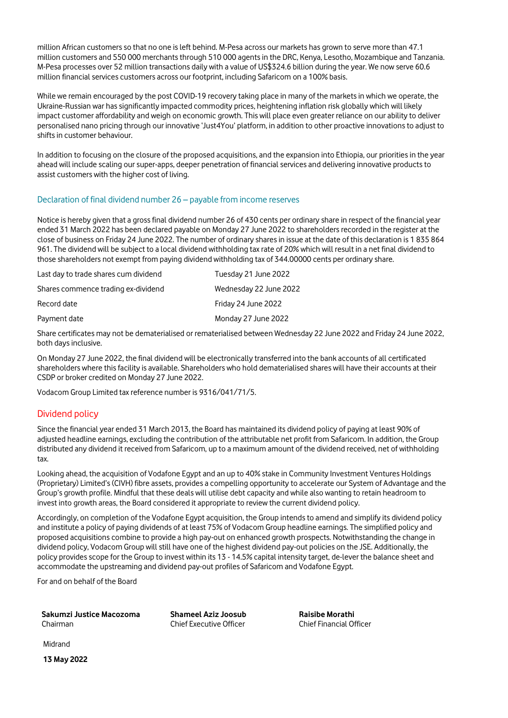million African customers so that no one is left behind. M-Pesa across our markets has grown to serve more than 47.1 million customers and 550 000 merchants through 510 000 agents in the DRC, Kenya, Lesotho, Mozambique and Tanzania. M-Pesa processes over 52 million transactions daily with a value of US\$324.6 billion during the year. We now serve 60.6 million financial services customers across our footprint, including Safaricom on a 100% basis.

While we remain encouraged by the post COVID-19 recovery taking place in many of the markets in which we operate, the Ukraine-Russian war has significantly impacted commodity prices, heightening inflation risk globally which will likely impact customer affordability and weigh on economic growth. This will place even greater reliance on our ability to deliver personalised nano pricing through our innovative 'Just4You' platform, in addition to other proactive innovations to adjust to shifts in customer behaviour.

In addition to focusing on the closure of the proposed acquisitions, and the expansion into Ethiopia, our priorities in the year ahead will include scaling our super-apps, deeper penetration of financial services and delivering innovative products to assist customers with the higher cost of living.

# Declaration of final dividend number 26 – payable from income reserves

Notice is hereby given that a gross final dividend number 26 of 430 cents per ordinary share in respect of the financial year ended 31 March 2022 has been declared payable on Monday 27 June 2022 to shareholders recorded in the register at the close of business on Friday 24 June 2022. The number of ordinary shares in issue at the date of this declaration is 1 835 864 961. The dividend will be subject to a local dividend withholding tax rate of 20% which will result in a net final dividend to those shareholders not exempt from paying dividend withholding tax of 344.00000 cents per ordinary share.

| Last day to trade shares cum dividend | Tuesday 21 June 2022   |
|---------------------------------------|------------------------|
| Shares commence trading ex-dividend   | Wednesday 22 June 2022 |
| Record date                           | Friday 24 June 2022    |
| Payment date                          | Monday 27 June 2022    |

Share certificates may not be dematerialised or rematerialised between Wednesday 22 June 2022 and Friday 24 June 2022, both days inclusive.

On Monday 27 June 2022, the final dividend will be electronically transferred into the bank accounts of all certificated shareholders where this facility is available. Shareholders who hold dematerialised shares will have their accounts at their CSDP or broker credited on Monday 27 June 2022.

Vodacom Group Limited tax reference number is 9316/041/71/5.

# Dividend policy

Since the financial year ended 31 March 2013, the Board has maintained its dividend policy of paying at least 90% of adjusted headline earnings, excluding the contribution of the attributable net profit from Safaricom. In addition, the Group distributed any dividend it received from Safaricom, up to a maximum amount of the dividend received, net of withholding tax.

Looking ahead, the acquisition of Vodafone Egypt and an up to 40% stake in Community Investment Ventures Holdings (Proprietary) Limited's (CIVH) fibre assets, provides a compelling opportunity to accelerate our System of Advantage and the Group's growth profile. Mindful that these deals will utilise debt capacity and while also wanting to retain headroom to invest into growth areas, the Board considered it appropriate to review the current dividend policy.

Accordingly, on completion of the Vodafone Egypt acquisition, the Group intends to amend and simplify its dividend policy and institute a policy of paying dividends of at least 75% of Vodacom Group headline earnings. The simplified policy and proposed acquisitions combine to provide a high pay-out on enhanced growth prospects. Notwithstanding the change in dividend policy, Vodacom Group will still have one of the highest dividend pay-out policies on the JSE. Additionally, the policy provides scope for the Group to invest within its 13 - 14.5% capital intensity target, de-lever the balance sheet and accommodate the upstreaming and dividend pay-out profiles of Safaricom and Vodafone Egypt.

For and on behalf of the Board

**Sakumzi Justice Macozoma** Chairman

**Shameel Aziz Joosub** Chief Executive Officer

**Raisibe Morathi** Chief Financial Officer

Midrand

**13 May 2022**